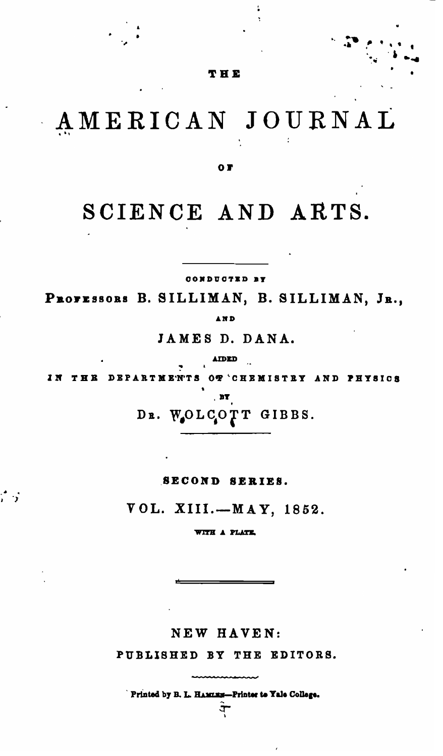THE

## AMERICAN JOURNAL

O T

## SCIENCE AND ARTS.

CONDUCTED BY

PROFESSORS B. SILLIMAN, B. SILLIMAN, JR., AND

JAMES D. DANA.

AIDED

OT 'CHEMISTRY AND PHYSICS IN THE DEPARTMENTS

DR. WOLCOTT GIBBS.

SECOND SERIES.

VOL. XIII.-MAY, 1852.

WITH A PLATE.

NEW HAVEN:

PUBLISHED BY THE EDITORS.

Printed by B. L. HAMLES-Printer to Yale College.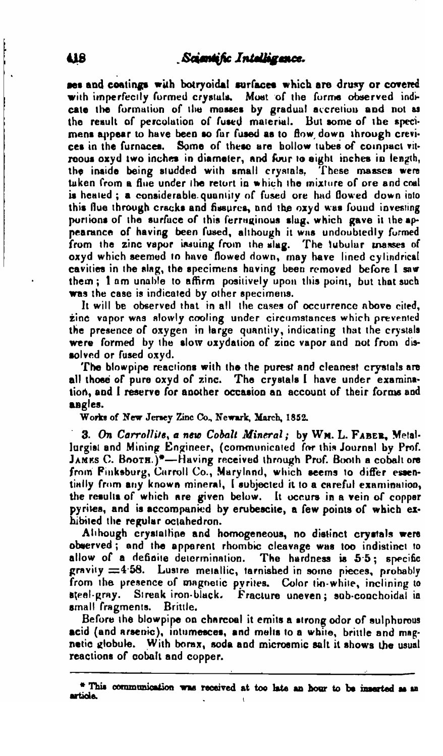ses and coatings with botryoidal surfaces which are drusy or covered with imperfectly formed crystals. Most of the forms observed indicate the formation of the masses by gradual accretion and not as the result of percolation of fused material. But some of the specimens annear to have been so far fused as to flow down through crevices in the furnaces. Some of these are hollow tubes of compact vitreous oxyd two inches in diameter, and four to eight inches in length, the inside being studded with small crystals. These masses were tuken from a flue under the retort in which the mixture of ore and coal is heated; a considerable quantity of fused ore had flowed down into this flue through cracks and fissures, and the oxyd was found investing portions of the surface of this ferruginous slag, which gave it the appearance of having been fused, although it was undoubtedly formed from the zinc vapor issuing from the slag. The tubular masses of oxyd which seemed to have flowed down, may have lined cylindrical cavities in the slag, the specimens having been removed before I saw them; I am unable to affirm positively upon this point, but that such was the case is indicated by other specimens.

It will be observed that in all the cases of occurrence above cited, zine vapor was slowly cooling under circumstances which prevented the presence of oxygen in large quantity, indicating that the crystals were formed by the slow oxydation of zinc vapor and not from dissolved or fused oxyd.

The blowpipe reactions with the the purest and cleanest crystals are all those of pure oxyd of zinc. The crystals I have under examination, and I reserve for another occasion an account of their forms and angles.

Works of New Jersey Zinc Co., Newark, March, 1852.

3. On Carrollits, a new Cobalt Mineral; by WM. L. FABER, Metallurgist and Mining Engineer, (communicated for this Journal by Prof. JAMES C. BOOTH.)<sup>\*</sup>-Having received through Prof. Booth a cobalt ore from Finksburg, Carroll Co., Maryland, which seems to differ essentially from any known mineral, I subjected it to a careful examination, the results of which are given below. It occurs in a vein of copper pyrites, and is accompanied by erubescite, a few points of which exhibited the regular octahedron.

Although crystalline and homogeneous, no distinct crystals were observed; and the apparent rhombic cleavage was too indistinct to allow of a definite determination. The hardness is 5.5; specific gravity  $\equiv$  4.58. Lustre metallic, tarnished in some pieces, probably from the presence of magnetic pyrites. Color tin-white, inclining to steel-gray. Streak iron-black. Fracture uneven; sub-conchoidal in small fragments. Brittle.

Before the blowpipe on charcoal it emits a strong odor of sulphurous acid (and arsenic), intumesces, and melts to a white, brittle and magnetic globule. With borax, soda and microsmic salt it shows the usual reactions of cobalt and copper.

<sup>\*</sup> This communication was received at too late an hour to be inserted as an article.